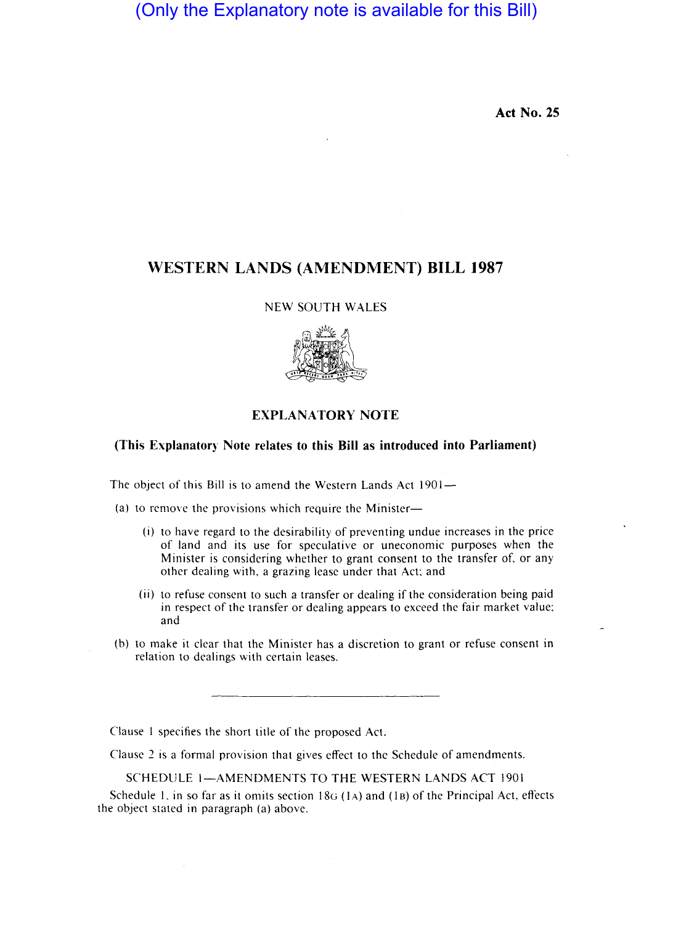(Only the Explanatory note is available for this Bill)

**Act No. 25** 

## **WESTERN LANDS (AMENDMENT) BILL 1987**

NEW SOUTH WALES



## **EXPLANATORY NOTE**

## **(This Explanatory Note relates to this Bill as introduced into Parliament)**

The object of this Bill is to amend the Western Lands Act 1901-

(a) to remove the provisions which require the Minister-

- (i) to have regard to the desirability of preventing undue increases in the price of land and its use for speculative or uneconomic purposes when the Minister is considering whether to grant consent to the transfer of, or any other dealing with. a grazing lease under that Act: and
- (ii) to refuse consent to such a transfer or dealing if the consideration being paid in respect of the transfer or dealing appears to exceed the fair market value; and
- (b) to make it clear that the Minister has a discretion to grant or refuse consent in relation to dealings with certain leases.

Clause I specifies the short title of the proposed Act.

Clause 2 is a formal provision that gives effect to the Schedule of amendments.

SCHEDULE 1-AMENDMENTS TO THE WESTERN LANDS ACT 1901

Schedule 1, in so far as it omits section  $18G(1A)$  and  $(1B)$  of the Principal Act, effects the object stated in paragraph (a) above.